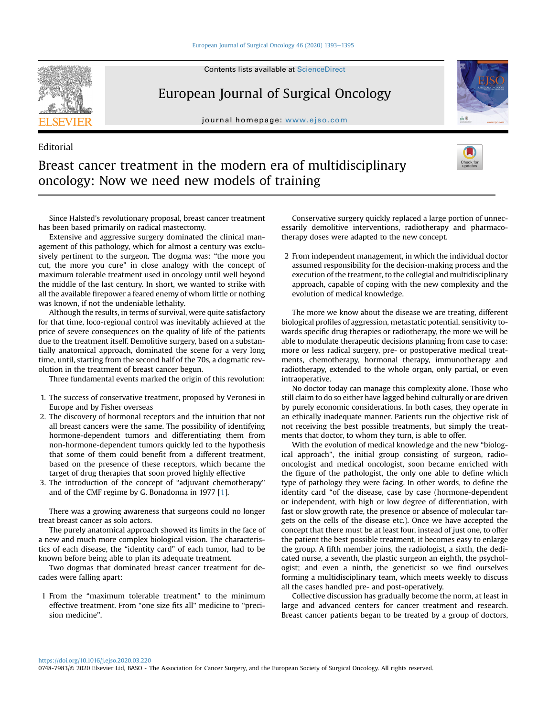#### [European Journal of Surgical Oncology 46 \(2020\) 1393](https://doi.org/10.1016/j.ejso.2020.03.220)-[1395](https://doi.org/10.1016/j.ejso.2020.03.220)



Editorial

Contents lists available at ScienceDirect

## European Journal of Surgical Oncology

journal homepage: <www.ejso.com>



# Breast cancer treatment in the modern era of multidisciplinary oncology: Now we need new models of training

Since Halsted's revolutionary proposal, breast cancer treatment has been based primarily on radical mastectomy.

Extensive and aggressive surgery dominated the clinical management of this pathology, which for almost a century was exclusively pertinent to the surgeon. The dogma was: "the more you cut, the more you cure" in close analogy with the concept of maximum tolerable treatment used in oncology until well beyond the middle of the last century. In short, we wanted to strike with all the available firepower a feared enemy of whom little or nothing was known, if not the undeniable lethality.

Although the results, in terms of survival, were quite satisfactory for that time, loco-regional control was inevitably achieved at the price of severe consequences on the quality of life of the patients due to the treatment itself. Demolitive surgery, based on a substantially anatomical approach, dominated the scene for a very long time, until, starting from the second half of the 70s, a dogmatic revolution in the treatment of breast cancer begun.

Three fundamental events marked the origin of this revolution:

- 1. The success of conservative treatment, proposed by Veronesi in Europe and by Fisher overseas
- 2. The discovery of hormonal receptors and the intuition that not all breast cancers were the same. The possibility of identifying hormone-dependent tumors and differentiating them from non-hormone-dependent tumors quickly led to the hypothesis that some of them could benefit from a different treatment, based on the presence of these receptors, which became the target of drug therapies that soon proved highly effective
- 3. The introduction of the concept of "adjuvant chemotherapy" and of the CMF regime by G. Bonadonna in 1977 [\[1\]](#page-1-0).

There was a growing awareness that surgeons could no longer treat breast cancer as solo actors.

The purely anatomical approach showed its limits in the face of a new and much more complex biological vision. The characteristics of each disease, the "identity card" of each tumor, had to be known before being able to plan its adequate treatment.

Two dogmas that dominated breast cancer treatment for decades were falling apart:

1 From the "maximum tolerable treatment" to the minimum effective treatment. From "one size fits all" medicine to "precision medicine".

Conservative surgery quickly replaced a large portion of unnecessarily demolitive interventions, radiotherapy and pharmacotherapy doses were adapted to the new concept.

2 From independent management, in which the individual doctor assumed responsibility for the decision-making process and the execution of the treatment, to the collegial and multidisciplinary approach, capable of coping with the new complexity and the evolution of medical knowledge.

The more we know about the disease we are treating, different biological profiles of aggression, metastatic potential, sensitivity towards specific drug therapies or radiotherapy, the more we will be able to modulate therapeutic decisions planning from case to case: more or less radical surgery, pre- or postoperative medical treatments, chemotherapy, hormonal therapy, immunotherapy and radiotherapy, extended to the whole organ, only partial, or even intraoperative.

No doctor today can manage this complexity alone. Those who still claim to do so either have lagged behind culturally or are driven by purely economic considerations. In both cases, they operate in an ethically inadequate manner. Patients run the objective risk of not receiving the best possible treatments, but simply the treatments that doctor, to whom they turn, is able to offer.

With the evolution of medical knowledge and the new "biological approach", the initial group consisting of surgeon, radiooncologist and medical oncologist, soon became enriched with the figure of the pathologist, the only one able to define which type of pathology they were facing. In other words, to define the identity card "of the disease, case by case (hormone-dependent or independent, with high or low degree of differentiation, with fast or slow growth rate, the presence or absence of molecular targets on the cells of the disease etc.). Once we have accepted the concept that there must be at least four, instead of just one, to offer the patient the best possible treatment, it becomes easy to enlarge the group. A fifth member joins, the radiologist, a sixth, the dedicated nurse, a seventh, the plastic surgeon an eighth, the psychologist; and even a ninth, the geneticist so we find ourselves forming a multidisciplinary team, which meets weekly to discuss all the cases handled pre- and post-operatively.

Collective discussion has gradually become the norm, at least in large and advanced centers for cancer treatment and research. Breast cancer patients began to be treated by a group of doctors,

<https://doi.org/10.1016/j.ejso.2020.03.220> 0748-7983/© 2020 Elsevier Ltd, BASO ~ The Association for Cancer Surgery, and the European Society of Surgical Oncology. All rights reserved.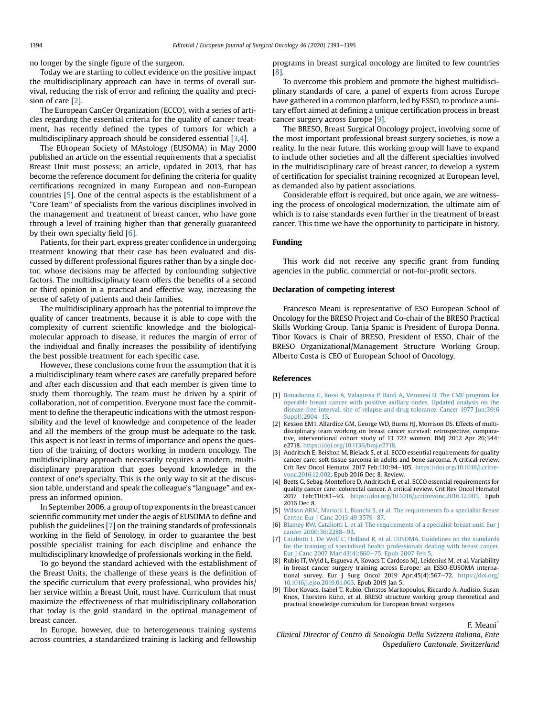no longer by the single figure of the surgeon.

Today we are starting to collect evidence on the positive impact the multidisciplinary approach can have in terms of overall survival, reducing the risk of error and refining the quality and precision of care [[2\]](#page-1-1).

The European CanCer Organization (ECCO), with a series of articles regarding the essential criteria for the quality of cancer treatment, has recently defined the types of tumors for which a multidisciplinary approach should be considered essential [[3](#page-1-2)[,4](#page-1-3)].

The EUropean Society of MAstology (EUSOMA) in May 2000 published an article on the essential requirements that a specialist Breast Unit must possess; an article, updated in 2013, that has become the reference document for defining the criteria for quality certifications recognized in many European and non-European countries [[5\]](#page-1-4). One of the central aspects is the establishment of a "Core Team" of specialists from the various disciplines involved in the management and treatment of breast cancer, who have gone through a level of training higher than that generally guaranteed by their own specialty field [\[6\]](#page-1-5).

Patients, for their part, express greater confidence in undergoing treatment knowing that their case has been evaluated and discussed by different professional figures rather than by a single doctor, whose decisions may be affected by confounding subjective factors. The multidisciplinary team offers the benefits of a second or third opinion in a practical and effective way, increasing the sense of safety of patients and their families.

The multidisciplinary approach has the potential to improve the quality of cancer treatments, because it is able to cope with the complexity of current scientific knowledge and the biologicalmolecular approach to disease, it reduces the margin of error of the individual and finally increases the possibility of identifying the best possible treatment for each specific case.

However, these conclusions come from the assumption that it is a multidisciplinary team where cases are carefully prepared before and after each discussion and that each member is given time to study them thoroughly. The team must be driven by a spirit of collaboration, not of competition. Everyone must face the commitment to define the therapeutic indications with the utmost responsibility and the level of knowledge and competence of the leader and all the members of the group must be adequate to the task. This aspect is not least in terms of importance and opens the question of the training of doctors working in modern oncology. The multidisciplinary approach necessarily requires a modern, multidisciplinary preparation that goes beyond knowledge in the context of one's specialty. This is the only way to sit at the discussion table, understand and speak the colleague's "language" and express an informed opinion.

In September 2006, a group of top exponents in the breast cancer scientific community met under the aegis of EUSOMA to define and publish the guidelines [\[7\]](#page-1-6) on the training standards of professionals working in the field of Senology, in order to guarantee the best possible specialist training for each discipline and enhance the multidisciplinary knowledge of professionals working in the field.

To go beyond the standard achieved with the establishment of the Breast Units, the challenge of these years is the definition of the specific curriculum that every professional, who provides his/ her service within a Breast Unit, must have. Curriculum that must maximize the effectiveness of that multidisciplinary collaboration that today is the gold standard in the optimal management of breast cancer.

In Europe, however, due to heterogeneous training systems across countries, a standardized training is lacking and fellowship programs in breast surgical oncology are limited to few countries [[8](#page-1-7)].

To overcome this problem and promote the highest multidisciplinary standards of care, a panel of experts from across Europe have gathered in a common platform, led by ESSO, to produce a unitary effort aimed at defining a unique certification process in breast cancer surgery across Europe [[9](#page-1-8)].

The BRESO, Breast Surgical Oncology project, involving some of the most important professional breast surgery societies, is now a reality. In the near future, this working group will have to expand to include other societies and all the different specialties involved in the multidisciplinary care of breast cancer, to develop a system of certification for specialist training recognized at European level, as demanded also by patient associations.

Considerable effort is required, but once again, we are witnessing the process of oncological modernization, the ultimate aim of which is to raise standards even further in the treatment of breast cancer. This time we have the opportunity to participate in history.

#### Funding

This work did not receive any specific grant from funding agencies in the public, commercial or not-for-profit sectors.

#### Declaration of competing interest

Francesco Meani is representative of ESO European School of Oncology for the BRESO Project and Co-chair of the BRESO Practical Skills Working Group. Tanja Spanic is President of Europa Donna. Tibor Kovacs is Chair of BRESO, President of ESSO, Chair of the BRESO Organizational/Management Structure Working Group. Alberto Costa is CEO of European School of Oncology.

#### References

- <span id="page-1-0"></span>[1] [Bonadonna G, Rossi A, Valagussa P, Ban](http://refhub.elsevier.com/S0748-7983(20)30368-1/sref1)fi A, Veronesi U. The CMF program for [operable breast cancer with positive axillary nodes. Updated analysis on the](http://refhub.elsevier.com/S0748-7983(20)30368-1/sref1) [disease-free interval, site of relapse and drug tolerance. Cancer 1977 Jun;39\(6](http://refhub.elsevier.com/S0748-7983(20)30368-1/sref1) [Suppl\):2904](http://refhub.elsevier.com/S0748-7983(20)30368-1/sref1)-[15](http://refhub.elsevier.com/S0748-7983(20)30368-1/sref1).
- <span id="page-1-1"></span>[2] Kesson EM1, Allardice GM, George WD, Burns HJ, Morrison DS, Effects of multidisciplinary team working on breast cancer survival: retrospective, comparative, interventional cohort study of 13 722 women. BMJ 2012 Apr 26;344: e2718. <https://doi.org/10.1136/bmj.e2718>.
- <span id="page-1-2"></span>[3] Andritsch E, Beishon M, Bielack S, et al. ECCO essential requirements for quality cancer care: soft tissue sarcoma in adults and bone sarcoma. A critical review. Crit Rev Oncol Hematol 2017 Feb;110:94-105. [https://doi.org/10.1016/j.critre](https://doi.org/10.1016/j.critrevonc.2016.12.002)[vonc.2016.12.002](https://doi.org/10.1016/j.critrevonc.2016.12.002). Epub 2016 Dec 8. Review.
- <span id="page-1-3"></span>[4] Beets G, Sebag-Montefiore D, Andritsch E, et al. ECCO essential requirements for quality cancer care: colorectal cancer. A critical review. Crit Rev Oncol Hematol 2017 Feb;110:81-93. [https://doi.org/10.1016/j.critrevonc.2016.12.001.](https://doi.org/10.1016/j.critrevonc.2016.12.001) Epub 2016 Dec 8.
- <span id="page-1-4"></span>[5] [Wilson ARM, Mariotii L, Bianchi S, et al. The requirements fo a specialist Breast](http://refhub.elsevier.com/S0748-7983(20)30368-1/sref5) [Center. Eur J Canc 2013;49:3579](http://refhub.elsevier.com/S0748-7983(20)30368-1/sref5)-[87.](http://refhub.elsevier.com/S0748-7983(20)30368-1/sref5)
- <span id="page-1-5"></span>[6] [Blamey RW, Cataliotti L, et al. The requirements of a specialist breast unit. Eur J](http://refhub.elsevier.com/S0748-7983(20)30368-1/sref6) [cancer 2000;36:2288](http://refhub.elsevier.com/S0748-7983(20)30368-1/sref6)-[93.](http://refhub.elsevier.com/S0748-7983(20)30368-1/sref6)
- <span id="page-1-6"></span>[7] [Cataliotti L, De Wolf C, Holland R, et al. EUSOMA. Guidelines on the standards](http://refhub.elsevier.com/S0748-7983(20)30368-1/sref7) [for the training of specialised health professionals dealing with breast cancer.](http://refhub.elsevier.com/S0748-7983(20)30368-1/sref7) Eur J Canc 2007 Mar; 43(4): 660-[75. Epub 2007 Feb 5](http://refhub.elsevier.com/S0748-7983(20)30368-1/sref7).
- <span id="page-1-7"></span>[8] Rubio IT, Wyld L, Esgueva A, Kovacs T, Cardoso MJ, Leidenius M, et al. Variability in breast cancer surgery training across Europe: an ESSO-EUSOMA international survey. Eur J Surg Oncol 2019 Apr;45(4):567-72. [https://doi.org/](https://doi.org/10.1016/j.ejso.2019.01.003) [10.1016/j.ejso.2019.01.003](https://doi.org/10.1016/j.ejso.2019.01.003). Epub 2019 Jan 5.
- <span id="page-1-8"></span>[9] Tibor Kovacs, Isabel T. Rubio, Christos Markopoulos, Riccardo A. Audisio, Susan Knox, Thorsten Kühn, et al, BRESO structure working group theoretical and practical knowledge curriculum for European breast surgeons

F. Meani\*

Clinical Director of Centro di Senologia Della Svizzera Italiana, Ente Ospedaliero Cantonale, Switzerland